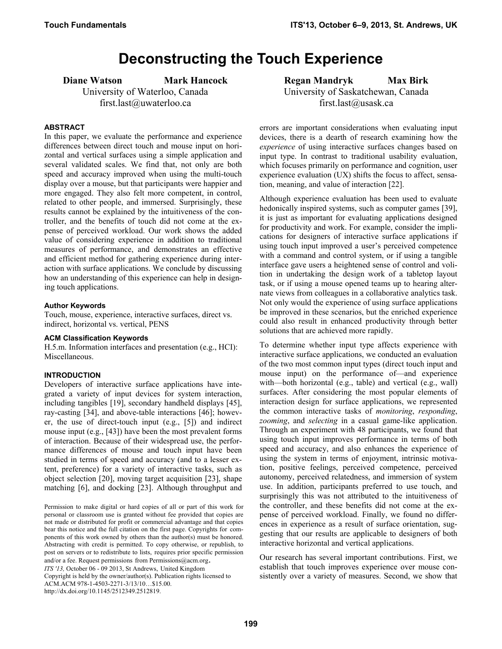# **Deconstructing the Touch Experience**

**Diane Watson Mark Hancock**

University of Waterloo, Canada first.last@uwaterloo.ca

## **ABSTRACT**

In this paper, we evaluate the performance and experience differences between direct touch and mouse input on horizontal and vertical surfaces using a simple application and several validated scales. We find that, not only are both speed and accuracy improved when using the multi-touch display over a mouse, but that participants were happier and more engaged. They also felt more competent, in control, related to other people, and immersed. Surprisingly, these results cannot be explained by the intuitiveness of the controller, and the benefits of touch did not come at the expense of perceived workload. Our work shows the added value of considering experience in addition to traditional measures of performance, and demonstrates an effective and efficient method for gathering experience during interaction with surface applications. We conclude by discussing how an understanding of this experience can help in designing touch applications.

#### **Author Keywords**

Touch, mouse, experience, interactive surfaces, direct vs. indirect, horizontal vs. vertical, PENS

#### **ACM Classification Keywords**

H.5.m. Information interfaces and presentation (e.g., HCI): Miscellaneous.

## **INTRODUCTION**

Developers of interactive surface applications have integrated a variety of input devices for system interaction, including tangibles [19], secondary handheld displays [45], ray-casting [34], and above-table interactions [46]; however, the use of direct-touch input (e.g., [5]) and indirect mouse input (e.g., [43]) have been the most prevalent forms of interaction. Because of their widespread use, the performance differences of mouse and touch input have been studied in terms of speed and accuracy (and to a lesser extent, preference) for a variety of interactive tasks, such as object selection [20], moving target acquisition [23], shape matching [6], and docking [23]. Although throughput and

Permission to make digital or hard copies of all or part of this work for personal or classroom use is granted without fee provided that copies are not made or distributed for profit or commercial advantage and that copies bear this notice and the full citation on the first page. Copyrights for components of this work owned by others than the author(s) must be honored. Abstracting with credit is permitted. To copy otherwise, or republish, to post on servers or to redistribute to lists, requires prior specific permission and/or a fee. Request permissions from Permissions@acm.org. *ITS '13,* October 06 - 09 2013, St Andrews, United Kingdom Copyright is held by the owner/author(s). Publication rights licensed to ACM.ACM 978-1-4503-2271-3/13/10…\$15.00. http://dx.doi.org/10.1145/2512349.2512819.

**Regan Mandryk Max Birk**  University of Saskatchewan, Canada first.last@usask.ca

errors are important considerations when evaluating input devices, there is a dearth of research examining how the *experience* of using interactive surfaces changes based on input type. In contrast to traditional usability evaluation, which focuses primarily on performance and cognition, user experience evaluation (UX) shifts the focus to affect, sensation, meaning, and value of interaction [22].

Although experience evaluation has been used to evaluate hedonically inspired systems, such as computer games [39], it is just as important for evaluating applications designed for productivity and work. For example, consider the implications for designers of interactive surface applications if using touch input improved a user's perceived competence with a command and control system, or if using a tangible interface gave users a heightened sense of control and volition in undertaking the design work of a tabletop layout task, or if using a mouse opened teams up to hearing alternate views from colleagues in a collaborative analytics task. Not only would the experience of using surface applications be improved in these scenarios, but the enriched experience could also result in enhanced productivity through better solutions that are achieved more rapidly.

To determine whether input type affects experience with interactive surface applications, we conducted an evaluation of the two most common input types (direct touch input and mouse input) on the performance of—and experience with—both horizontal (e.g., table) and vertical (e.g., wall) surfaces. After considering the most popular elements of interaction design for surface applications, we represented the common interactive tasks of *monitoring*, *responding*, *zooming*, and *selecting* in a casual game-like application. Through an experiment with 48 participants, we found that using touch input improves performance in terms of both speed and accuracy, and also enhances the experience of using the system in terms of enjoyment, intrinsic motivation, positive feelings, perceived competence, perceived autonomy, perceived relatedness, and immersion of system use. In addition, participants preferred to use touch, and surprisingly this was not attributed to the intuitiveness of the controller, and these benefits did not come at the expense of perceived workload. Finally, we found no differences in experience as a result of surface orientation, suggesting that our results are applicable to designers of both interactive horizontal and vertical applications.

Our research has several important contributions. First, we establish that touch improves experience over mouse consistently over a variety of measures. Second, we show that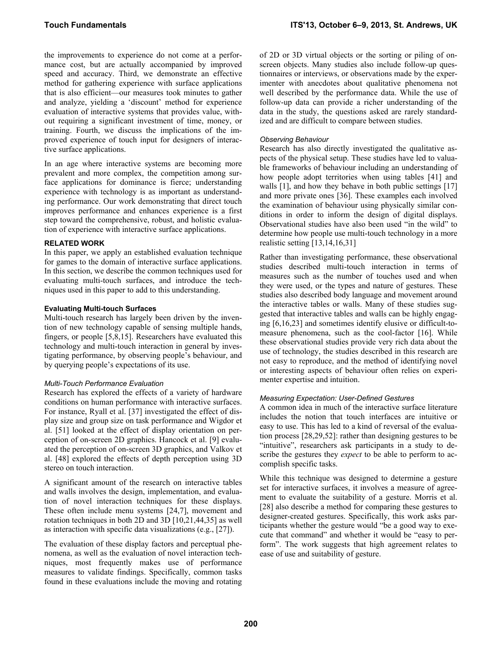the improvements to experience do not come at a performance cost, but are actually accompanied by improved speed and accuracy. Third, we demonstrate an effective method for gathering experience with surface applications that is also efficient—our measures took minutes to gather and analyze, yielding a 'discount' method for experience evaluation of interactive systems that provides value, without requiring a significant investment of time, money, or training. Fourth, we discuss the implications of the improved experience of touch input for designers of interactive surface applications.

In an age where interactive systems are becoming more prevalent and more complex, the competition among surface applications for dominance is fierce; understanding experience with technology is as important as understanding performance. Our work demonstrating that direct touch improves performance and enhances experience is a first step toward the comprehensive, robust, and holistic evaluation of experience with interactive surface applications.

## **RELATED WORK**

In this paper, we apply an established evaluation technique for games to the domain of interactive surface applications. In this section, we describe the common techniques used for evaluating multi-touch surfaces, and introduce the techniques used in this paper to add to this understanding.

## **Evaluating Multi-touch Surfaces**

Multi-touch research has largely been driven by the invention of new technology capable of sensing multiple hands, fingers, or people [5,8,15]. Researchers have evaluated this technology and multi-touch interaction in general by investigating performance, by observing people's behaviour, and by querying people's expectations of its use.

# *Multi-Touch Performance Evaluation*

Research has explored the effects of a variety of hardware conditions on human performance with interactive surfaces. For instance, Ryall et al. [37] investigated the effect of display size and group size on task performance and Wigdor et al. [51] looked at the effect of display orientation on perception of on-screen 2D graphics. Hancock et al. [9] evaluated the perception of on-screen 3D graphics, and Valkov et al. [48] explored the effects of depth perception using 3D stereo on touch interaction.

A significant amount of the research on interactive tables and walls involves the design, implementation, and evaluation of novel interaction techniques for these displays. These often include menu systems [24,7], movement and rotation techniques in both 2D and 3D [10,21,44,35] as well as interaction with specific data visualizations (e.g., [27]).

The evaluation of these display factors and perceptual phenomena, as well as the evaluation of novel interaction techniques, most frequently makes use of performance measures to validate findings. Specifically, common tasks found in these evaluations include the moving and rotating of 2D or 3D virtual objects or the sorting or piling of onscreen objects. Many studies also include follow-up questionnaires or interviews, or observations made by the experimenter with anecdotes about qualitative phenomena not well described by the performance data. While the use of follow-up data can provide a richer understanding of the data in the study, the questions asked are rarely standardized and are difficult to compare between studies.

## *Observing Behaviour*

Research has also directly investigated the qualitative aspects of the physical setup. These studies have led to valuable frameworks of behaviour including an understanding of how people adopt territories when using tables [41] and walls [1], and how they behave in both public settings [17] and more private ones [36]. These examples each involved the examination of behaviour using physically similar conditions in order to inform the design of digital displays. Observational studies have also been used "in the wild" to determine how people use multi-touch technology in a more realistic setting [13,14,16,31]

Rather than investigating performance, these observational studies described multi-touch interaction in terms of measures such as the number of touches used and when they were used, or the types and nature of gestures. These studies also described body language and movement around the interactive tables or walls. Many of these studies suggested that interactive tables and walls can be highly engaging [6,16,23] and sometimes identify elusive or difficult-tomeasure phenomena, such as the cool-factor [16]. While these observational studies provide very rich data about the use of technology, the studies described in this research are not easy to reproduce, and the method of identifying novel or interesting aspects of behaviour often relies on experimenter expertise and intuition.

#### *Measuring Expectation: User-Defined Gestures*

A common idea in much of the interactive surface literature includes the notion that touch interfaces are intuitive or easy to use. This has led to a kind of reversal of the evaluation process [28,29,52]: rather than designing gestures to be "intuitive", researchers ask participants in a study to describe the gestures they *expect* to be able to perform to accomplish specific tasks.

While this technique was designed to determine a gesture set for interactive surfaces, it involves a measure of agreement to evaluate the suitability of a gesture. Morris et al. [28] also describe a method for comparing these gestures to designer-created gestures. Specifically, this work asks participants whether the gesture would "be a good way to execute that command" and whether it would be "easy to perform". The work suggests that high agreement relates to ease of use and suitability of gesture.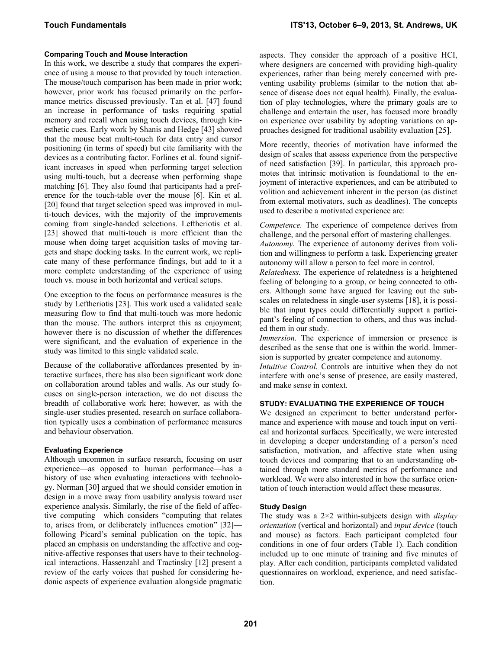## **Comparing Touch and Mouse Interaction**

In this work, we describe a study that compares the experience of using a mouse to that provided by touch interaction. The mouse/touch comparison has been made in prior work; however, prior work has focused primarily on the performance metrics discussed previously. Tan et al. [47] found an increase in performance of tasks requiring spatial memory and recall when using touch devices, through kinesthetic cues. Early work by Shanis and Hedge [43] showed that the mouse beat multi-touch for data entry and cursor positioning (in terms of speed) but cite familiarity with the devices as a contributing factor. Forlines et al. found significant increases in speed when performing target selection using multi-touch, but a decrease when performing shape matching [6]. They also found that participants had a preference for the touch-table over the mouse [6]. Kin et al. [20] found that target selection speed was improved in multi-touch devices, with the majority of the improvements coming from single-handed selections. Leftheriotis et al. [23] showed that multi-touch is more efficient than the mouse when doing target acquisition tasks of moving targets and shape docking tasks. In the current work, we replicate many of these performance findings, but add to it a more complete understanding of the experience of using touch vs. mouse in both horizontal and vertical setups.

One exception to the focus on performance measures is the study by Leftheriotis [23]. This work used a validated scale measuring flow to find that multi-touch was more hedonic than the mouse. The authors interpret this as enjoyment; however there is no discussion of whether the differences were significant, and the evaluation of experience in the study was limited to this single validated scale.

Because of the collaborative affordances presented by interactive surfaces, there has also been significant work done on collaboration around tables and walls. As our study focuses on single-person interaction, we do not discuss the breadth of collaborative work here; however, as with the single-user studies presented, research on surface collaboration typically uses a combination of performance measures and behaviour observation.

#### **Evaluating Experience**

Although uncommon in surface research, focusing on user experience—as opposed to human performance—has a history of use when evaluating interactions with technology. Norman [30] argued that we should consider emotion in design in a move away from usability analysis toward user experience analysis. Similarly, the rise of the field of affective computing—which considers "computing that relates to, arises from, or deliberately influences emotion" [32] following Picard's seminal publication on the topic, has placed an emphasis on understanding the affective and cognitive-affective responses that users have to their technological interactions. Hassenzahl and Tractinsky [12] present a review of the early voices that pushed for considering hedonic aspects of experience evaluation alongside pragmatic aspects. They consider the approach of a positive HCI, where designers are concerned with providing high-quality experiences, rather than being merely concerned with preventing usability problems (similar to the notion that absence of disease does not equal health). Finally, the evaluation of play technologies, where the primary goals are to challenge and entertain the user, has focused more broadly on experience over usability by adopting variations on approaches designed for traditional usability evaluation [25].

More recently, theories of motivation have informed the design of scales that assess experience from the perspective of need satisfaction [39]. In particular, this approach promotes that intrinsic motivation is foundational to the enjoyment of interactive experiences, and can be attributed to volition and achievement inherent in the person (as distinct from external motivators, such as deadlines). The concepts used to describe a motivated experience are:

*Competence.* The experience of competence derives from challenge, and the personal effort of mastering challenges. *Autonomy.* The experience of autonomy derives from volition and willingness to perform a task. Experiencing greater autonomy will allow a person to feel more in control.

*Relatedness.* The experience of relatedness is a heightened feeling of belonging to a group, or being connected to others. Although some have argued for leaving out the subscales on relatedness in single-user systems [18], it is possible that input types could differentially support a participant's feeling of connection to others, and thus was included them in our study.

*Immersion.* The experience of immersion or presence is described as the sense that one is within the world. Immersion is supported by greater competence and autonomy.

*Intuitive Control.* Controls are intuitive when they do not interfere with one's sense of presence, are easily mastered, and make sense in context.

# **STUDY: EVALUATING THE EXPERIENCE OF TOUCH**

We designed an experiment to better understand performance and experience with mouse and touch input on vertical and horizontal surfaces. Specifically, we were interested in developing a deeper understanding of a person's need satisfaction, motivation, and affective state when using touch devices and comparing that to an understanding obtained through more standard metrics of performance and workload. We were also interested in how the surface orientation of touch interaction would affect these measures.

#### **Study Design**

The study was a 2×2 within-subjects design with *display orientation* (vertical and horizontal) and *input device* (touch and mouse) as factors. Each participant completed four conditions in one of four orders (Table 1). Each condition included up to one minute of training and five minutes of play. After each condition, participants completed validated questionnaires on workload, experience, and need satisfaction.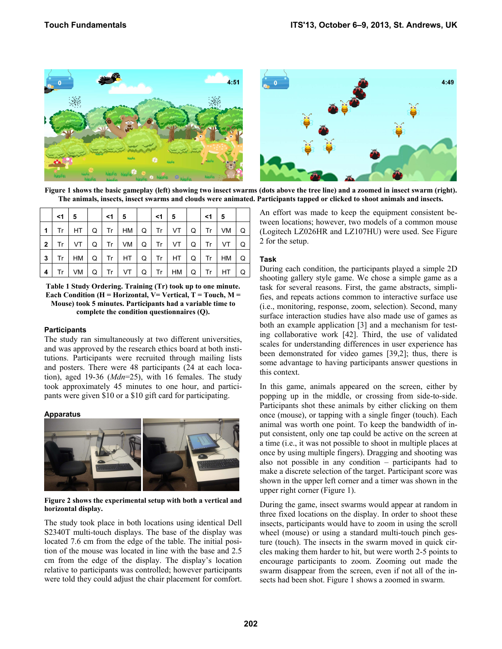

**Figure 1 shows the basic gameplay (left) showing two insect swarms (dots above the tree line) and a zoomed in insect swarm (right). The animals, insects, insect swarms and clouds were animated. Participants tapped or clicked to shoot animals and insects.** 

|                | $\leq 1$ | - 5 | <1 | 5 | $<$ 1 | 5                                                           | $<$ 1 | 5 |   |
|----------------|----------|-----|----|---|-------|-------------------------------------------------------------|-------|---|---|
| 1 <sup>1</sup> |          |     |    |   |       | Tr   HT   Q   Tr   HM   Q   Tr   VT   Q   Tr   VM   Q       |       |   |   |
|                |          |     |    |   |       | $2$   Tr   VT   Q   Tr   VM   Q   Tr   VT   Q   Tr   VT   Q |       |   |   |
|                |          |     |    |   |       | 3   Tr   HM   Q   Tr   HT   Q   Tr   HT   Q   Tr   HM   Q   |       |   |   |
|                |          |     |    |   |       | $4$   Tr   VM   Q   Tr   VT   Q   Tr   HM   Q   Tr   HT     |       |   | Q |

**Table 1 Study Ordering. Training (Tr) took up to one minute. Each Condition (H = Horizontal, V= Vertical, T = Touch, M = Mouse) took 5 minutes. Participants had a variable time to complete the condition questionnaires (Q).** 

#### **Participants**

The study ran simultaneously at two different universities, and was approved by the research ethics board at both institutions. Participants were recruited through mailing lists and posters. There were 48 participants (24 at each location), aged 19-36 (*Mdn*=25), with 16 females. The study took approximately 45 minutes to one hour, and participants were given \$10 or a \$10 gift card for participating.

# **Apparatus**



**Figure 2 shows the experimental setup with both a vertical and horizontal display.** 

The study took place in both locations using identical Dell S2340T multi-touch displays. The base of the display was located 7.6 cm from the edge of the table. The initial position of the mouse was located in line with the base and 2.5 cm from the edge of the display. The display's location relative to participants was controlled; however participants were told they could adjust the chair placement for comfort.

An effort was made to keep the equipment consistent between locations; however, two models of a common mouse (Logitech LZ026HR and LZ107HU) were used. See Figure 2 for the setup.

#### **Task**

During each condition, the participants played a simple 2D shooting gallery style game. We chose a simple game as a task for several reasons. First, the game abstracts, simplifies, and repeats actions common to interactive surface use (i.e., monitoring, response, zoom, selection). Second, many surface interaction studies have also made use of games as both an example application [3] and a mechanism for testing collaborative work [42]. Third, the use of validated scales for understanding differences in user experience has been demonstrated for video games [39,2]; thus, there is some advantage to having participants answer questions in this context.

In this game, animals appeared on the screen, either by popping up in the middle, or crossing from side-to-side. Participants shot these animals by either clicking on them once (mouse), or tapping with a single finger (touch). Each animal was worth one point. To keep the bandwidth of input consistent, only one tap could be active on the screen at a time (i.e., it was not possible to shoot in multiple places at once by using multiple fingers). Dragging and shooting was also not possible in any condition – participants had to make a discrete selection of the target. Participant score was shown in the upper left corner and a timer was shown in the upper right corner (Figure 1).

During the game, insect swarms would appear at random in three fixed locations on the display. In order to shoot these insects, participants would have to zoom in using the scroll wheel (mouse) or using a standard multi-touch pinch gesture (touch). The insects in the swarm moved in quick circles making them harder to hit, but were worth 2-5 points to encourage participants to zoom. Zooming out made the swarm disappear from the screen, even if not all of the insects had been shot. Figure 1 shows a zoomed in swarm.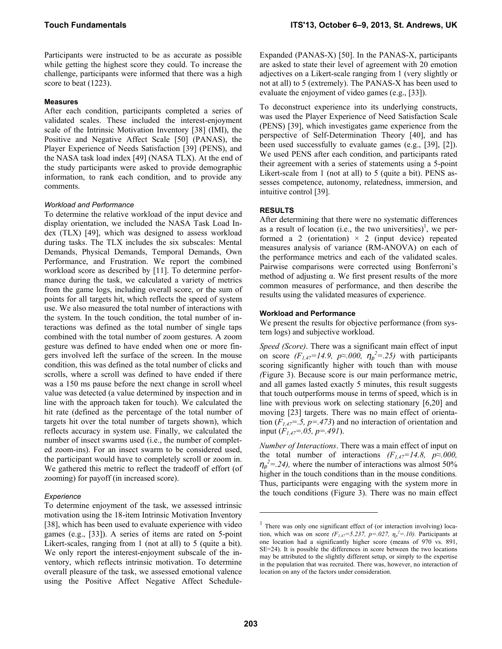Participants were instructed to be as accurate as possible while getting the highest score they could. To increase the challenge, participants were informed that there was a high score to beat  $(1223)$ .

## **Measures**

After each condition, participants completed a series of validated scales. These included the interest-enjoyment scale of the Intrinsic Motivation Inventory [38] (IMI), the Positive and Negative Affect Scale [50] (PANAS), the Player Experience of Needs Satisfaction [39] (PENS), and the NASA task load index [49] (NASA TLX). At the end of the study participants were asked to provide demographic information, to rank each condition, and to provide any comments.

## *Workload and Performance*

To determine the relative workload of the input device and display orientation, we included the NASA Task Load Index (TLX) [49], which was designed to assess workload during tasks. The TLX includes the six subscales: Mental Demands, Physical Demands, Temporal Demands, Own Performance, and Frustration. We report the combined workload score as described by [11]. To determine performance during the task, we calculated a variety of metrics from the game logs, including overall score, or the sum of points for all targets hit, which reflects the speed of system use. We also measured the total number of interactions with the system. In the touch condition, the total number of interactions was defined as the total number of single taps combined with the total number of zoom gestures. A zoom gesture was defined to have ended when one or more fingers involved left the surface of the screen. In the mouse condition, this was defined as the total number of clicks and scrolls, where a scroll was defined to have ended if there was a 150 ms pause before the next change in scroll wheel value was detected (a value determined by inspection and in line with the approach taken for touch). We calculated the hit rate (defined as the percentage of the total number of targets hit over the total number of targets shown), which reflects accuracy in system use. Finally, we calculated the number of insect swarms used (i.e., the number of completed zoom-ins). For an insect swarm to be considered used, the participant would have to completely scroll or zoom in. We gathered this metric to reflect the tradeoff of effort (of zooming) for payoff (in increased score).

# *Experience*

To determine enjoyment of the task, we assessed intrinsic motivation using the 18-item Intrinsic Motivation Inventory [38], which has been used to evaluate experience with video games (e.g., [33]). A series of items are rated on 5-point Likert-scales, ranging from 1 (not at all) to 5 (quite a bit). We only report the interest-enjoyment subscale of the inventory, which reflects intrinsic motivation. To determine overall pleasure of the task, we assessed emotional valence using the Positive Affect Negative Affect ScheduleExpanded (PANAS-X) [50]. In the PANAS-X, participants are asked to state their level of agreement with 20 emotion adjectives on a Likert-scale ranging from 1 (very slightly or not at all) to 5 (extremely). The PANAS-X has been used to evaluate the enjoyment of video games (e.g., [33]).

To deconstruct experience into its underlying constructs, was used the Player Experience of Need Satisfaction Scale (PENS) [39], which investigates game experience from the perspective of Self-Determination Theory [40], and has been used successfully to evaluate games (e.g., [39], [2]). We used PENS after each condition, and participants rated their agreement with a series of statements using a 5-point Likert-scale from 1 (not at all) to 5 (quite a bit). PENS assesses competence, autonomy, relatedness, immersion, and intuitive control [39].

# **RESULTS**

After determining that there were no systematic differences as a result of location (i.e., the two universities)<sup>1</sup>, we performed a 2 (orientation)  $\times$  2 (input device) repeated measures analysis of variance (RM-ANOVA) on each of the performance metrics and each of the validated scales. Pairwise comparisons were corrected using Bonferroni's method of adjusting  $\alpha$ . We first present results of the more common measures of performance, and then describe the results using the validated measures of experience.

# **Workload and Performance**

We present the results for objective performance (from system logs) and subjective workload.

*Speed (Score)*. There was a significant main effect of input on score  $(F_{1,47}=14.9, p \approx 000, \eta_p^2=0.25)$  with participants scoring significantly higher with touch than with mouse *(*Figure 3). Because score is our main performance metric, and all games lasted exactly 5 minutes, this result suggests that touch outperforms mouse in terms of speed, which is in line with previous work on selecting stationary [6,20] and moving [23] targets. There was no main effect of orientation  $(F_{1,47} = 5, p = 473)$  and no interaction of orientation and input (*F1,47=.05, p=.491*).

*Number of Interactions*. There was a main effect of input on the total number of interactions  $(F_{1,47}=14.8, p \approx 0.00)$ ,  $\eta_p^2 = 24$ , where the number of interactions was almost 50% higher in the touch conditions than in the mouse conditions*.*  Thus, participants were engaging with the system more in the touch conditions (Figure 3). There was no main effect

l

 $1$  There was only one significant effect of (or interaction involving) location, which was on score  $(F_{1,47}=5.237, p=.027, \eta_p^2=.10)$ . Participants at one location had a significantly higher score (means of 970 vs. 891, SE=24). It is possible the differences in score between the two locations may be attributed to the slightly different setup, or simply to the expertise in the population that was recruited. There was, however, no interaction of location on any of the factors under consideration.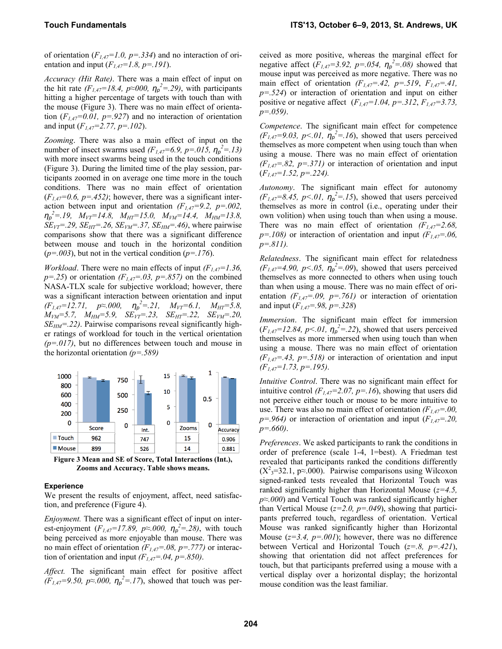of orientation  $(F_{1,47}=1.0, p=.334)$  and no interaction of orientation and input  $(F_{1,47} = 1.8, p = 191)$ .

*Accuracy (Hit Rate)*. There was a main effect of input on the hit rate  $(F_{1,47}=18.4, p \approx 000, \eta_p^2=0.29)$ , with participants hitting a higher percentage of targets with touch than with the mouse (Figure 3). There was no main effect of orientation  $(F_{I,47}=0.01, p=.927)$  and no interaction of orientation and input (*F1,47=2.77, p=.102*).

*Zooming*. There was also a main effect of input on the number of insect swarms used  $(F_{1,47} = 6.9, p = .015, \eta_p^2 = .13)$ with more insect swarms being used in the touch conditions (Figure 3). During the limited time of the play session, participants zoomed in on average one time more in the touch conditions. There was no main effect of orientation  $(F<sub>1,47</sub>=0.6, p=.452)$ ; however, there was a significant interaction between input and orientation  $(F_{1,47}=9.2, p=0.02)$ ,  $\eta_p^2 = 19$ ,  $M_{VT} = 14.8$ ,  $M_{HT} = 15.0$ ,  $M_{VM} = 14.4$ ,  $M_{HM} = 13.8$ , *SE<sub>VT</sub>*= 29, *SE<sub>HT</sub>*= 26, *SE<sub>VM</sub>*= 37, *SE<sub>HM</sub>*= 46), where pairwise comparisons show that there was a significant difference between mouse and touch in the horizontal condition  $(p=003)$ , but not in the vertical condition  $(p=176)$ .

*Workload*. There were no main effects of input *(F<sub>1,47</sub>=1.36,*  $p=0.25$ ) or orientation *(F<sub>1,47</sub>=.03, p=.857)* on the combined NASA-TLX scale for subjective workload; however, there was a significant interaction between orientation and input  $(F_{1,47}=12.71, p \approx 000, \eta_p^2 = 0.21, M_{VT}=6.1, M_{HT}=5.8,$  $M_{VM} = 5.7$ ,  $M_{HM} = 5.9$ ,  $SE_{VT} = .23$ ,  $SE_{HT} = .22$ ,  $SE_{VM} = .20$ ,  $SE_{HM}$ =.22). Pairwise comparisons reveal significantly higher ratings of workload for touch in the vertical orientation *(p=.017)*, but no differences between touch and mouse in the horizontal orientation *(p=.589)* 



**Figure 3 Mean and SE of Score, Total Interactions (Int.), Zooms and Accuracy. Table shows means.**

#### **Experience**

We present the results of enjoyment, affect, need satisfaction, and preference (Figure 4).

*Enjoyment.* There was a significant effect of input on interest-enjoyment ( $F_{1,47}$ =17.89,  $p \approx 0.00$ ,  $\eta_p^2 = 0.28$ ), with touch being perceived as more enjoyable than mouse. There was no main effect of orientation  $(F<sub>1.47</sub>=.08, p=.777)$  or interaction of orientation and input  $(F_{1,47} = .04, p = .850)$ .

*Affect.* The significant main effect for positive affect *(F<sub>1,47</sub>*=9.50, *p*≈*.000*,  $η<sub>p</sub><sup>2</sup> = .17$ ), showed that touch was perceived as more positive, whereas the marginal effect for negative affect  $(F_{1,47}=3.92, p=.054, \eta_p^2=.08)$  showed that mouse input was perceived as more negative. There was no main effect of orientation  $(F_{1,47} = .42, p = .519, F_{1,47} = .41,$ *p=.524*) or interaction of orientation and input on either positive or negative affect  $(F_{1,47}=1.04, p=.312, F_{1,47}=3.73,$ *p=.059)*.

*Competence*. The significant main effect for competence  $(F_{1,47}=9.03, p<0.01, \eta_p^2=16)$ , showed that users perceived themselves as more competent when using touch than when using a mouse. There was no main effect of orientation  $(F_{1,47}=.82, p=.371)$  or interaction of orientation and input (*F1,47=1.52, p=.224).*

*Autonomy*. The significant main effect for autonomy  $(F_{1,47}=8.45, p<0.01, \eta_p^2=1.15)$ , showed that users perceived themselves as more in control (i.e., operating under their own volition) when using touch than when using a mouse. There was no main effect of orientation  $(F_{1,47}=2.68)$ ,  $p=108$ ) or interaction of orientation and input  $(F<sub>1.47</sub>=.06)$ , *p=.811).*

*Relatedness*. The significant main effect for relatedness  $(F_{1,47}=4.90, p<.05, \eta_p^2=0.09)$ , showed that users perceived themselves as more connected to others when using touch than when using a mouse. There was no main effect of orientation  $(F_{I,47} = .09, p = .761)$  or interaction of orientation and input  $(F_{1,47}=.98, p=.328)$ 

*Immersion*. The significant main effect for immersion  $(F_{1,47}=12.84, p<0.01, \eta_p^2=0.22)$ , showed that users perceived themselves as more immersed when using touch than when using a mouse. There was no main effect of orientation  $(F_{1,47} = .43, p = .518)$  or interaction of orientation and input *(F1,47=1.73, p=.195)*.

*Intuitive Control*. There was no significant main effect for intuitive control  $(F_{1,47}=2.07, p=.16)$ , showing that users did not perceive either touch or mouse to be more intuitive to use. There was also no main effect of orientation  $(F_{1,47} = 0.0)$ ,  $p=0.964$ ) or interaction of orientation and input ( $F_{1,47}=0.20$ , *p=.660)*.

*Preferences*. We asked participants to rank the conditions in order of preference (scale 1-4, 1=best). A Friedman test revealed that participants ranked the conditions differently  $(X^2$ <sub>3</sub>=32.1, p  $\approx$ .000). Pairwise comparisons using Wilcoxon signed-ranked tests revealed that Horizontal Touch was ranked significantly higher than Horizontal Mouse (*z=4.5, p*<sup>≈</sup>*.000*) and Vertical Touch was ranked significantly higher than Vertical Mouse (*z=2.0, p=.049*), showing that participants preferred touch, regardless of orientation. Vertical Mouse was ranked significantly higher than Horizontal Mouse  $(z=3.4, p=.001)$ ; however, there was no difference between Vertical and Horizontal Touch (*z=.8, p=.421*), showing that orientation did not affect preferences for touch, but that participants preferred using a mouse with a vertical display over a horizontal display; the horizontal mouse condition was the least familiar.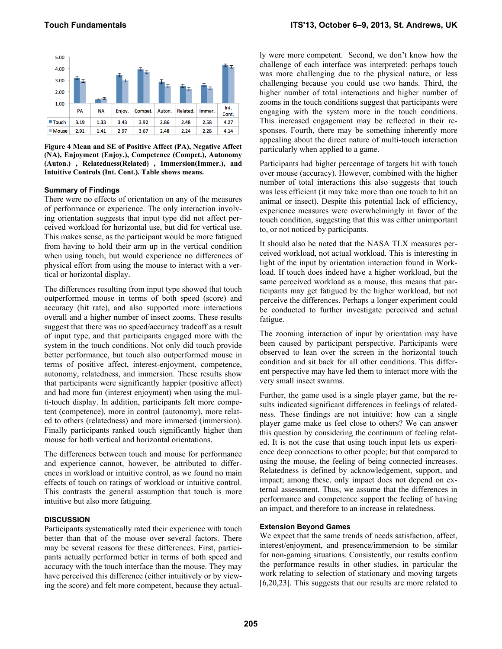

**Figure 4 Mean and SE of Positive Affect (PA), Negative Affect (NA), Enjoyment (Enjoy.), Competence (Compet.), Autonomy (Auton.) , Relatedness(Related) , Immersion(Immer.), and Intuitive Controls (Int. Cont.). Table shows means.** 

#### **Summary of Findings**

There were no effects of orientation on any of the measures of performance or experience. The only interaction involving orientation suggests that input type did not affect perceived workload for horizontal use, but did for vertical use. This makes sense, as the participant would be more fatigued from having to hold their arm up in the vertical condition when using touch, but would experience no differences of physical effort from using the mouse to interact with a vertical or horizontal display.

The differences resulting from input type showed that touch outperformed mouse in terms of both speed (score) and accuracy (hit rate), and also supported more interactions overall and a higher number of insect zooms. These results suggest that there was no speed/accuracy tradeoff as a result of input type, and that participants engaged more with the system in the touch conditions. Not only did touch provide better performance, but touch also outperformed mouse in terms of positive affect, interest-enjoyment, competence, autonomy, relatedness, and immersion. These results show that participants were significantly happier (positive affect) and had more fun (interest enjoyment) when using the multi-touch display. In addition, participants felt more competent (competence), more in control (autonomy), more related to others (relatedness) and more immersed (immersion). Finally participants ranked touch significantly higher than mouse for both vertical and horizontal orientations.

The differences between touch and mouse for performance and experience cannot, however, be attributed to differences in workload or intuitive control, as we found no main effects of touch on ratings of workload or intuitive control. This contrasts the general assumption that touch is more intuitive but also more fatiguing.

#### **DISCUSSION**

Participants systematically rated their experience with touch better than that of the mouse over several factors. There may be several reasons for these differences. First, participants actually performed better in terms of both speed and accuracy with the touch interface than the mouse. They may have perceived this difference (either intuitively or by viewing the score) and felt more competent, because they actually were more competent. Second, we don't know how the challenge of each interface was interpreted: perhaps touch was more challenging due to the physical nature, or less challenging because you could use two hands. Third, the higher number of total interactions and higher number of zooms in the touch conditions suggest that participants were engaging with the system more in the touch conditions. This increased engagement may be reflected in their responses. Fourth, there may be something inherently more appealing about the direct nature of multi-touch interaction particularly when applied to a game.

Participants had higher percentage of targets hit with touch over mouse (accuracy). However, combined with the higher number of total interactions this also suggests that touch was less efficient (it may take more than one touch to hit an animal or insect). Despite this potential lack of efficiency, experience measures were overwhelmingly in favor of the touch condition, suggesting that this was either unimportant to, or not noticed by participants.

It should also be noted that the NASA TLX measures perceived workload, not actual workload. This is interesting in light of the input by orientation interaction found in Workload. If touch does indeed have a higher workload, but the same perceived workload as a mouse, this means that participants may get fatigued by the higher workload, but not perceive the differences. Perhaps a longer experiment could be conducted to further investigate perceived and actual fatigue.

The zooming interaction of input by orientation may have been caused by participant perspective. Participants were observed to lean over the screen in the horizontal touch condition and sit back for all other conditions. This different perspective may have led them to interact more with the very small insect swarms.

Further, the game used is a single player game, but the results indicated significant differences in feelings of relatedness. These findings are not intuitive: how can a single player game make us feel close to others? We can answer this question by considering the continuum of feeling related. It is not the case that using touch input lets us experience deep connections to other people; but that compared to using the mouse, the feeling of being connected increases. Relatedness is defined by acknowledgement, support, and impact; among these, only impact does not depend on external assessment. Thus, we assume that the differences in performance and competence support the feeling of having an impact, and therefore to an increase in relatedness.

#### **Extension Beyond Games**

We expect that the same trends of needs satisfaction, affect, interest/enjoyment, and presence/immersion to be similar for non-gaming situations. Consistently, our results confirm the performance results in other studies, in particular the work relating to selection of stationary and moving targets [6,20,23]. This suggests that our results are more related to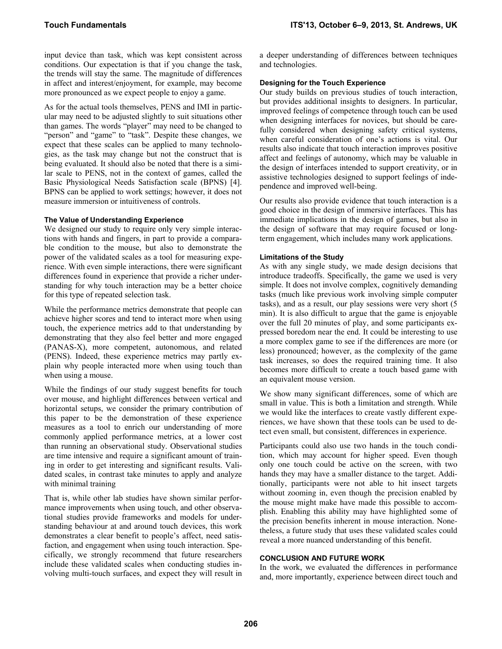input device than task, which was kept consistent across conditions. Our expectation is that if you change the task, the trends will stay the same. The magnitude of differences in affect and interest/enjoyment, for example, may become more pronounced as we expect people to enjoy a game.

As for the actual tools themselves, PENS and IMI in particular may need to be adjusted slightly to suit situations other than games. The words "player" may need to be changed to "person" and "game" to "task". Despite these changes, we expect that these scales can be applied to many technologies, as the task may change but not the construct that is being evaluated. It should also be noted that there is a similar scale to PENS, not in the context of games, called the Basic Physiological Needs Satisfaction scale (BPNS) [4]. BPNS can be applied to work settings; however, it does not measure immersion or intuitiveness of controls.

#### **The Value of Understanding Experience**

We designed our study to require only very simple interactions with hands and fingers, in part to provide a comparable condition to the mouse, but also to demonstrate the power of the validated scales as a tool for measuring experience. With even simple interactions, there were significant differences found in experience that provide a richer understanding for why touch interaction may be a better choice for this type of repeated selection task.

While the performance metrics demonstrate that people can achieve higher scores and tend to interact more when using touch, the experience metrics add to that understanding by demonstrating that they also feel better and more engaged (PANAS-X), more competent, autonomous, and related (PENS). Indeed, these experience metrics may partly explain why people interacted more when using touch than when using a mouse.

While the findings of our study suggest benefits for touch over mouse, and highlight differences between vertical and horizontal setups, we consider the primary contribution of this paper to be the demonstration of these experience measures as a tool to enrich our understanding of more commonly applied performance metrics, at a lower cost than running an observational study. Observational studies are time intensive and require a significant amount of training in order to get interesting and significant results. Validated scales, in contrast take minutes to apply and analyze with minimal training

That is, while other lab studies have shown similar performance improvements when using touch, and other observational studies provide frameworks and models for understanding behaviour at and around touch devices, this work demonstrates a clear benefit to people's affect, need satisfaction, and engagement when using touch interaction. Specifically, we strongly recommend that future researchers include these validated scales when conducting studies involving multi-touch surfaces, and expect they will result in a deeper understanding of differences between techniques and technologies.

## **Designing for the Touch Experience**

Our study builds on previous studies of touch interaction, but provides additional insights to designers. In particular, improved feelings of competence through touch can be used when designing interfaces for novices, but should be carefully considered when designing safety critical systems, when careful consideration of one's actions is vital. Our results also indicate that touch interaction improves positive affect and feelings of autonomy, which may be valuable in the design of interfaces intended to support creativity, or in assistive technologies designed to support feelings of independence and improved well-being.

Our results also provide evidence that touch interaction is a good choice in the design of immersive interfaces. This has immediate implications in the design of games, but also in the design of software that may require focused or longterm engagement, which includes many work applications.

## **Limitations of the Study**

As with any single study, we made design decisions that introduce tradeoffs. Specifically, the game we used is very simple. It does not involve complex, cognitively demanding tasks (much like previous work involving simple computer tasks), and as a result, our play sessions were very short (5 min). It is also difficult to argue that the game is enjoyable over the full 20 minutes of play, and some participants expressed boredom near the end. It could be interesting to use a more complex game to see if the differences are more (or less) pronounced; however, as the complexity of the game task increases, so does the required training time. It also becomes more difficult to create a touch based game with an equivalent mouse version.

We show many significant differences, some of which are small in value. This is both a limitation and strength. While we would like the interfaces to create vastly different experiences, we have shown that these tools can be used to detect even small, but consistent, differences in experience.

Participants could also use two hands in the touch condition, which may account for higher speed. Even though only one touch could be active on the screen, with two hands they may have a smaller distance to the target. Additionally, participants were not able to hit insect targets without zooming in, even though the precision enabled by the mouse might make have made this possible to accomplish. Enabling this ability may have highlighted some of the precision benefits inherent in mouse interaction. Nonetheless, a future study that uses these validated scales could reveal a more nuanced understanding of this benefit.

## **CONCLUSION AND FUTURE WORK**

In the work, we evaluated the differences in performance and, more importantly, experience between direct touch and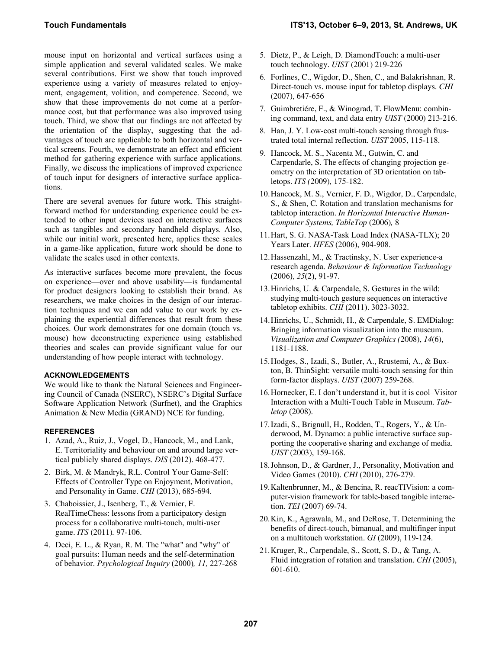mouse input on horizontal and vertical surfaces using a simple application and several validated scales. We make several contributions. First we show that touch improved experience using a variety of measures related to enjoyment, engagement, volition, and competence. Second, we show that these improvements do not come at a performance cost, but that performance was also improved using touch. Third, we show that our findings are not affected by the orientation of the display, suggesting that the advantages of touch are applicable to both horizontal and vertical screens. Fourth, we demonstrate an effect and efficient method for gathering experience with surface applications. Finally, we discuss the implications of improved experience of touch input for designers of interactive surface applications.

There are several avenues for future work. This straightforward method for understanding experience could be extended to other input devices used on interactive surfaces such as tangibles and secondary handheld displays. Also, while our initial work, presented here, applies these scales in a game-like application, future work should be done to validate the scales used in other contexts.

As interactive surfaces become more prevalent, the focus on experience—over and above usability—is fundamental for product designers looking to establish their brand. As researchers, we make choices in the design of our interaction techniques and we can add value to our work by explaining the experiential differences that result from these choices. Our work demonstrates for one domain (touch vs. mouse) how deconstructing experience using established theories and scales can provide significant value for our understanding of how people interact with technology.

#### **ACKNOWLEDGEMENTS**

We would like to thank the Natural Sciences and Engineering Council of Canada (NSERC), NSERC's Digital Surface Software Application Network (Surfnet), and the Graphics Animation & New Media (GRAND) NCE for funding.

#### **REFERENCES**

- 1. Azad, A., Ruiz, J., Vogel, D., Hancock, M., and Lank, E. Territoriality and behaviour on and around large vertical publicly shared displays. *DIS* (2012). 468-477.
- 2. Birk, M. & Mandryk, R.L. Control Your Game-Self: Effects of Controller Type on Enjoyment, Motivation, and Personality in Game. *CHI* (2013), 685-694.
- 3. Chaboissier, J., Isenberg, T., & Vernier, F. RealTimeChess: lessons from a participatory design process for a collaborative multi-touch, multi-user game. *ITS* (2011)*.* 97-106.
- 4. Deci, E. L., & Ryan, R. M. The "what" and "why" of goal pursuits: Human needs and the self-determination of behavior. *Psychological Inquiry* (2000)*, 11,* 227-268
- 5. Dietz, P., & Leigh, D. DiamondTouch: a multi-user touch technology. *UIST* (2001) 219-226
- 6. Forlines, C., Wigdor, D., Shen, C., and Balakrishnan, R. Direct-touch vs. mouse input for tabletop displays. *CHI*  (2007), 647-656
- 7. Guimbretiére, F., & Winograd, T. FlowMenu: combining command, text, and data entry *UIST* (2000) 213-216.
- 8. Han, J. Y. Low-cost multi-touch sensing through frustrated total internal reflection. *UIST* 2005, 115-118.
- 9. Hancock, M. S., Nacenta M., Gutwin, C. and Carpendarle, S. The effects of changing projection geometry on the interpretation of 3D orientation on tabletops. *ITS (*2009)*,* 175-182.
- 10.Hancock, M. S., Vernier, F. D., Wigdor, D., Carpendale, S., & Shen, C. Rotation and translation mechanisms for tabletop interaction. *In Horizontal Interactive Human-Computer Systems, TableTop* (2006)*,* 8
- 11.Hart, S. G. NASA-Task Load Index (NASA-TLX); 20 Years Later. *HFES* (2006), 904-908.
- 12.Hassenzahl, M., & Tractinsky, N. User experience-a research agenda. *Behaviour & Information Technology* (2006), *25*(2), 91-97.
- 13.Hinrichs, U. & Carpendale, S. Gestures in the wild: studying multi-touch gesture sequences on interactive tabletop exhibits. *CHI* (2011). 3023-3032.
- 14.Hinrichs, U., Schmidt, H., & Carpendale, S. EMDialog: Bringing information visualization into the museum. *Visualization and Computer Graphics (*2008), *14*(6), 1181-1188.
- 15.Hodges, S., Izadi, S., Butler, A., Rrustemi, A., & Buxton, B. ThinSight: versatile multi-touch sensing for thin form-factor displays. *UIST* (2007) 259-268.
- 16.Hornecker, E. I don't understand it, but it is cool–Visitor Interaction with a Multi-Touch Table in Museum. *Tabletop* (2008).
- 17.Izadi, S., Brignull, H., Rodden, T., Rogers, Y., & Underwood, M. Dynamo: a public interactive surface supporting the cooperative sharing and exchange of media. *UIST* (2003), 159-168.
- 18.Johnson, D., & Gardner, J., Personality, Motivation and Video Games (2010). *CHI* (2010), 276-279.
- 19.Kaltenbrunner, M., & Bencina, R. reacTIVision: a computer-vision framework for table-based tangible interaction. *TEI* (2007) 69-74.
- 20.Kin, K., Agrawala, M., and DeRose, T. Determining the benefits of direct-touch, bimanual, and multifinger input on a multitouch workstation. *GI* (2009), 119-124.
- 21.Kruger, R., Carpendale, S., Scott, S. D., & Tang, A. Fluid integration of rotation and translation. *CHI* (2005), 601-610.